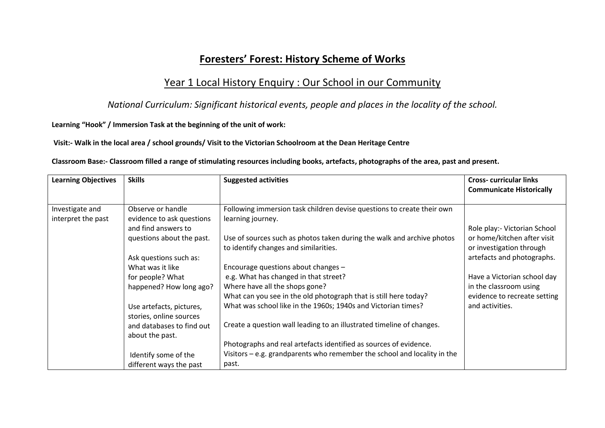## **Foresters' Forest: History Scheme of Works**

### Year 1 Local History Enquiry : Our School in our Community

*National Curriculum: Significant historical events, people and places in the locality of the school.*

**Learning "Hook" / Immersion Task at the beginning of the unit of work:**

**Visit:- Walk in the local area / school grounds/ Visit to the Victorian Schoolroom at the Dean Heritage Centre**

**Classroom Base:- Classroom filled a range of stimulating resources including books, artefacts, photographs of the area, past and present.**

| <b>Learning Objectives</b> | <b>Skills</b>             | <b>Suggested activities</b>                                                | <b>Cross-curricular links</b><br><b>Communicate Historically</b> |
|----------------------------|---------------------------|----------------------------------------------------------------------------|------------------------------------------------------------------|
|                            |                           |                                                                            |                                                                  |
| Investigate and            | Observe or handle         | Following immersion task children devise questions to create their own     |                                                                  |
| interpret the past         | evidence to ask questions | learning journey.                                                          |                                                                  |
|                            | and find answers to       |                                                                            | Role play:- Victorian School                                     |
|                            | questions about the past. | Use of sources such as photos taken during the walk and archive photos     | or home/kitchen after visit                                      |
|                            |                           | to identify changes and similarities.                                      | or investigation through                                         |
|                            | Ask questions such as:    |                                                                            | artefacts and photographs.                                       |
|                            | What was it like          | Encourage questions about changes -                                        |                                                                  |
|                            | for people? What          | e.g. What has changed in that street?                                      | Have a Victorian school day                                      |
|                            | happened? How long ago?   | Where have all the shops gone?                                             | in the classroom using                                           |
|                            |                           | What can you see in the old photograph that is still here today?           | evidence to recreate setting                                     |
|                            | Use artefacts, pictures,  | What was school like in the 1960s; 1940s and Victorian times?              | and activities.                                                  |
|                            | stories, online sources   |                                                                            |                                                                  |
|                            | and databases to find out | Create a question wall leading to an illustrated timeline of changes.      |                                                                  |
|                            | about the past.           |                                                                            |                                                                  |
|                            |                           | Photographs and real artefacts identified as sources of evidence.          |                                                                  |
|                            | Identify some of the      | Visitors $-$ e.g. grandparents who remember the school and locality in the |                                                                  |
|                            | different ways the past   | past.                                                                      |                                                                  |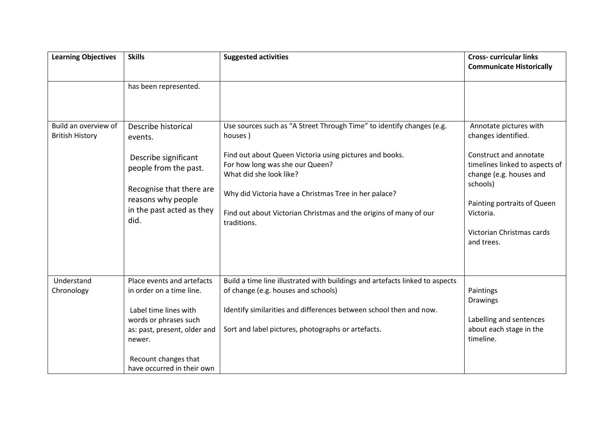| <b>Learning Objectives</b>                     | <b>Skills</b>                                                                                                                                                                                            | <b>Suggested activities</b>                                                                                                                                                                                                                                                                                                                            | <b>Cross-curricular links</b><br><b>Communicate Historically</b>                                                                                                                                                                        |
|------------------------------------------------|----------------------------------------------------------------------------------------------------------------------------------------------------------------------------------------------------------|--------------------------------------------------------------------------------------------------------------------------------------------------------------------------------------------------------------------------------------------------------------------------------------------------------------------------------------------------------|-----------------------------------------------------------------------------------------------------------------------------------------------------------------------------------------------------------------------------------------|
|                                                | has been represented.                                                                                                                                                                                    |                                                                                                                                                                                                                                                                                                                                                        |                                                                                                                                                                                                                                         |
| Build an overview of<br><b>British History</b> | Describe historical<br>events.<br>Describe significant<br>people from the past.<br>Recognise that there are<br>reasons why people<br>in the past acted as they<br>did.                                   | Use sources such as "A Street Through Time" to identify changes (e.g.<br>houses)<br>Find out about Queen Victoria using pictures and books.<br>For how long was she our Queen?<br>What did she look like?<br>Why did Victoria have a Christmas Tree in her palace?<br>Find out about Victorian Christmas and the origins of many of our<br>traditions. | Annotate pictures with<br>changes identified.<br>Construct and annotate<br>timelines linked to aspects of<br>change (e.g. houses and<br>schools)<br>Painting portraits of Queen<br>Victoria.<br>Victorian Christmas cards<br>and trees. |
| Understand<br>Chronology                       | Place events and artefacts<br>in order on a time line.<br>Label time lines with<br>words or phrases such<br>as: past, present, older and<br>newer.<br>Recount changes that<br>have occurred in their own | Build a time line illustrated with buildings and artefacts linked to aspects<br>of change (e.g. houses and schools)<br>Identify similarities and differences between school then and now.<br>Sort and label pictures, photographs or artefacts.                                                                                                        | Paintings<br><b>Drawings</b><br>Labelling and sentences<br>about each stage in the<br>timeline.                                                                                                                                         |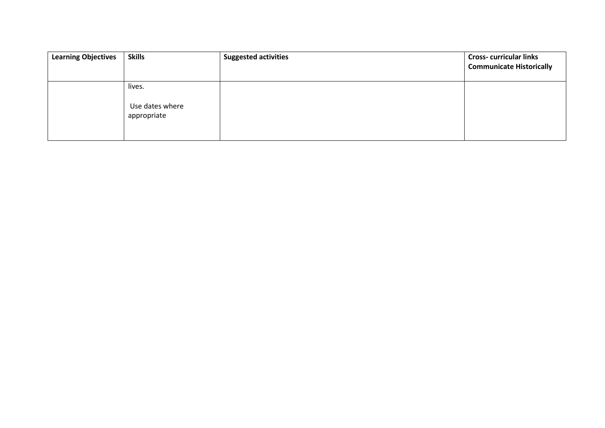| <b>Learning Objectives</b> | <b>Skills</b>                            | <b>Suggested activities</b> | <b>Cross-curricular links</b><br><b>Communicate Historically</b> |
|----------------------------|------------------------------------------|-----------------------------|------------------------------------------------------------------|
|                            | lives.<br>Use dates where<br>appropriate |                             |                                                                  |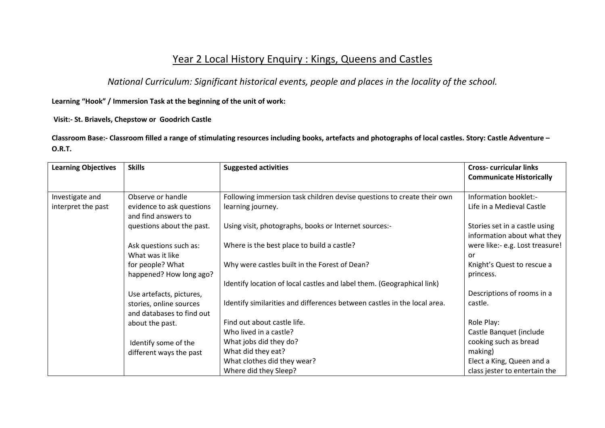# Year 2 Local History Enquiry : Kings, Queens and Castles

*National Curriculum: Significant historical events, people and places in the locality of the school.*

**Learning "Hook" / Immersion Task at the beginning of the unit of work:**

**Visit:- St. Briavels, Chepstow or Goodrich Castle**

**Classroom Base:- Classroom filled a range of stimulating resources including books, artefacts and photographs of local castles. Story: Castle Adventure – O.R.T.**

| <b>Learning Objectives</b> | <b>Skills</b>                                        | <b>Suggested activities</b>                                              | <b>Cross-curricular links</b><br><b>Communicate Historically</b> |
|----------------------------|------------------------------------------------------|--------------------------------------------------------------------------|------------------------------------------------------------------|
|                            |                                                      |                                                                          |                                                                  |
| Investigate and            | Observe or handle                                    | Following immersion task children devise questions to create their own   | Information booklet:-                                            |
| interpret the past         | evidence to ask questions<br>and find answers to     | learning journey.                                                        | Life in a Medieval Castle                                        |
|                            | questions about the past.                            | Using visit, photographs, books or Internet sources:-                    | Stories set in a castle using<br>information about what they     |
|                            | Ask questions such as:                               | Where is the best place to build a castle?                               | were like:- e.g. Lost treasure!                                  |
|                            | What was it like                                     |                                                                          | or                                                               |
|                            | for people? What                                     | Why were castles built in the Forest of Dean?                            | Knight's Quest to rescue a                                       |
|                            | happened? How long ago?                              |                                                                          | princess.                                                        |
|                            |                                                      | Identify location of local castles and label them. (Geographical link)   |                                                                  |
|                            | Use artefacts, pictures,                             |                                                                          | Descriptions of rooms in a                                       |
|                            | stories, online sources<br>and databases to find out | Identify similarities and differences between castles in the local area. | castle.                                                          |
|                            | about the past.                                      | Find out about castle life.                                              | Role Play:                                                       |
|                            |                                                      | Who lived in a castle?                                                   | Castle Banquet (include                                          |
|                            | Identify some of the                                 | What jobs did they do?                                                   | cooking such as bread                                            |
|                            | different ways the past                              | What did they eat?                                                       | making)                                                          |
|                            |                                                      | What clothes did they wear?                                              | Elect a King, Queen and a                                        |
|                            |                                                      | Where did they Sleep?                                                    | class jester to entertain the                                    |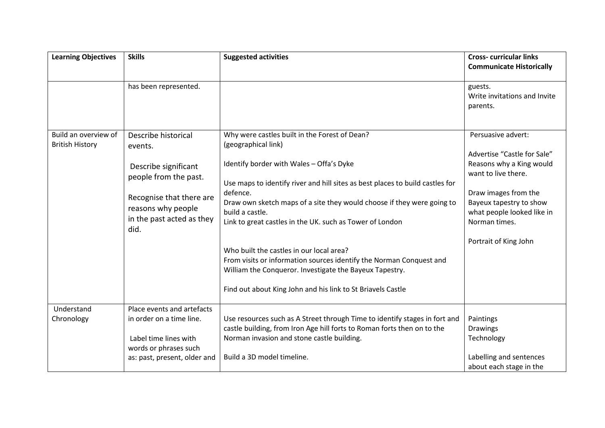| <b>Learning Objectives</b> | <b>Skills</b>                                                                       | <b>Suggested activities</b>                                                                                                                                                                                                               | <b>Cross-curricular links</b><br><b>Communicate Historically</b>                               |
|----------------------------|-------------------------------------------------------------------------------------|-------------------------------------------------------------------------------------------------------------------------------------------------------------------------------------------------------------------------------------------|------------------------------------------------------------------------------------------------|
|                            | has been represented.                                                               |                                                                                                                                                                                                                                           | guests.<br>Write invitations and Invite<br>parents.                                            |
| Build an overview of       | Describe historical                                                                 | Why were castles built in the Forest of Dean?                                                                                                                                                                                             | Persuasive advert:                                                                             |
| <b>British History</b>     | events.                                                                             | (geographical link)                                                                                                                                                                                                                       |                                                                                                |
|                            | Describe significant<br>people from the past.                                       | Identify border with Wales - Offa's Dyke<br>Use maps to identify river and hill sites as best places to build castles for                                                                                                                 | Advertise "Castle for Sale"<br>Reasons why a King would<br>want to live there.                 |
|                            | Recognise that there are<br>reasons why people<br>in the past acted as they<br>did. | defence.<br>Draw own sketch maps of a site they would choose if they were going to<br>build a castle.<br>Link to great castles in the UK. such as Tower of London                                                                         | Draw images from the<br>Bayeux tapestry to show<br>what people looked like in<br>Norman times. |
|                            |                                                                                     | Who built the castles in our local area?<br>From visits or information sources identify the Norman Conquest and<br>William the Conqueror. Investigate the Bayeux Tapestry.<br>Find out about King John and his link to St Briavels Castle | Portrait of King John                                                                          |
| Understand                 | Place events and artefacts                                                          |                                                                                                                                                                                                                                           |                                                                                                |
| Chronology                 | in order on a time line.                                                            | Use resources such as A Street through Time to identify stages in fort and<br>castle building, from Iron Age hill forts to Roman forts then on to the                                                                                     | Paintings<br><b>Drawings</b>                                                                   |
|                            | Label time lines with<br>words or phrases such                                      | Norman invasion and stone castle building.                                                                                                                                                                                                | Technology                                                                                     |
|                            | as: past, present, older and                                                        | Build a 3D model timeline.                                                                                                                                                                                                                | Labelling and sentences<br>about each stage in the                                             |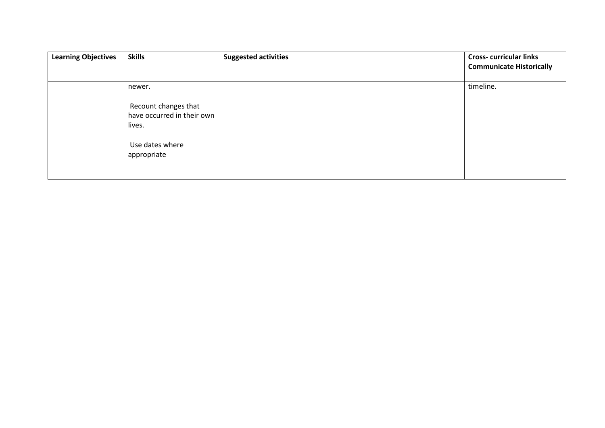| <b>Learning Objectives</b> | <b>Skills</b>                                                | <b>Suggested activities</b> | <b>Cross-curricular links</b><br><b>Communicate Historically</b> |
|----------------------------|--------------------------------------------------------------|-----------------------------|------------------------------------------------------------------|
|                            | newer.                                                       |                             | timeline.                                                        |
|                            | Recount changes that<br>have occurred in their own<br>lives. |                             |                                                                  |
|                            | Use dates where<br>appropriate                               |                             |                                                                  |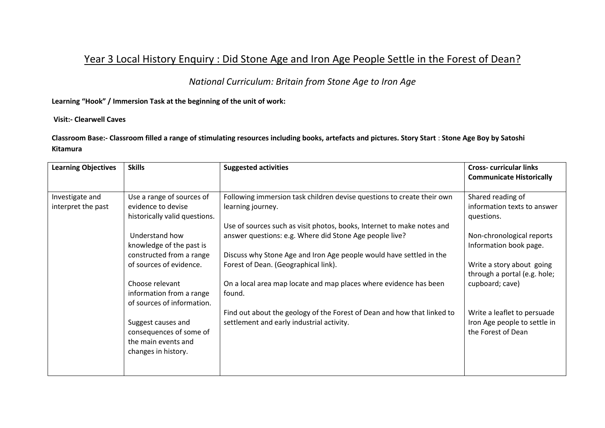# Year 3 Local History Enquiry : Did Stone Age and Iron Age People Settle in the Forest of Dean?

*National Curriculum: Britain from Stone Age to Iron Age*

**Learning "Hook" / Immersion Task at the beginning of the unit of work:**

#### **Visit:- Clearwell Caves**

**Classroom Base:- Classroom filled a range of stimulating resources including books, artefacts and pictures. Story Start** : **Stone Age Boy by Satoshi Kitamura**

| <b>Learning Objectives</b> | <b>Skills</b>                 | <b>Suggested activities</b>                                             | <b>Cross-curricular links</b><br><b>Communicate Historically</b> |
|----------------------------|-------------------------------|-------------------------------------------------------------------------|------------------------------------------------------------------|
|                            |                               |                                                                         |                                                                  |
| Investigate and            | Use a range of sources of     | Following immersion task children devise questions to create their own  | Shared reading of                                                |
| interpret the past         | evidence to devise            | learning journey.                                                       | information texts to answer                                      |
|                            | historically valid questions. |                                                                         | questions.                                                       |
|                            |                               | Use of sources such as visit photos, books, Internet to make notes and  |                                                                  |
|                            | Understand how                | answer questions: e.g. Where did Stone Age people live?                 | Non-chronological reports                                        |
|                            | knowledge of the past is      |                                                                         | Information book page.                                           |
|                            | constructed from a range      | Discuss why Stone Age and Iron Age people would have settled in the     |                                                                  |
|                            | of sources of evidence.       | Forest of Dean. (Geographical link).                                    | Write a story about going                                        |
|                            |                               |                                                                         | through a portal (e.g. hole;                                     |
|                            | Choose relevant               | On a local area map locate and map places where evidence has been       | cupboard; cave)                                                  |
|                            | information from a range      | found.                                                                  |                                                                  |
|                            | of sources of information.    |                                                                         |                                                                  |
|                            |                               | Find out about the geology of the Forest of Dean and how that linked to | Write a leaflet to persuade                                      |
|                            | Suggest causes and            | settlement and early industrial activity.                               | Iron Age people to settle in                                     |
|                            | consequences of some of       |                                                                         | the Forest of Dean                                               |
|                            | the main events and           |                                                                         |                                                                  |
|                            | changes in history.           |                                                                         |                                                                  |
|                            |                               |                                                                         |                                                                  |
|                            |                               |                                                                         |                                                                  |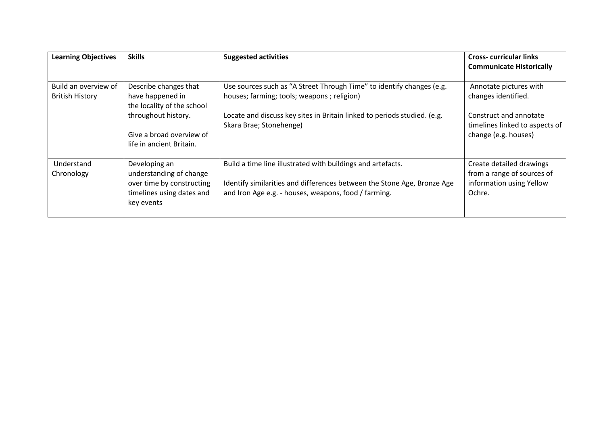| <b>Learning Objectives</b>                     | <b>Skills</b>                                                                                                    | <b>Suggested activities</b>                                                                                                                                                                    | <b>Cross-curricular links</b><br><b>Communicate Historically</b>                             |
|------------------------------------------------|------------------------------------------------------------------------------------------------------------------|------------------------------------------------------------------------------------------------------------------------------------------------------------------------------------------------|----------------------------------------------------------------------------------------------|
| Build an overview of<br><b>British History</b> | Describe changes that<br>have happened in<br>the locality of the school                                          | Use sources such as "A Street Through Time" to identify changes (e.g.<br>houses; farming; tools; weapons; religion)                                                                            | Annotate pictures with<br>changes identified.                                                |
|                                                | throughout history.<br>Give a broad overview of<br>life in ancient Britain.                                      | Locate and discuss key sites in Britain linked to periods studied. (e.g.<br>Skara Brae; Stonehenge)                                                                                            | Construct and annotate<br>timelines linked to aspects of<br>change (e.g. houses)             |
| Understand<br>Chronology                       | Developing an<br>understanding of change<br>over time by constructing<br>timelines using dates and<br>key events | Build a time line illustrated with buildings and artefacts.<br>Identify similarities and differences between the Stone Age, Bronze Age<br>and Iron Age e.g. - houses, weapons, food / farming. | Create detailed drawings<br>from a range of sources of<br>information using Yellow<br>Ochre. |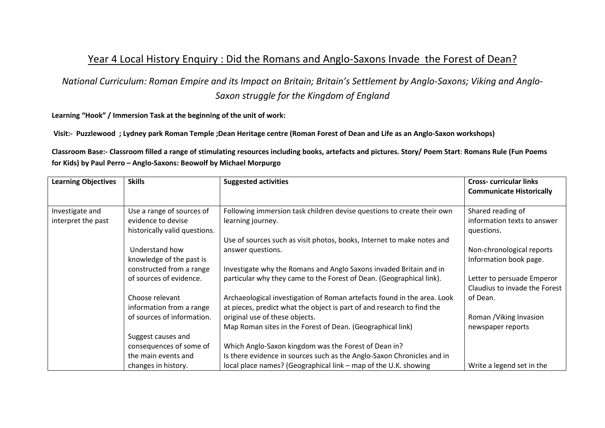## Year 4 Local History Enquiry : Did the Romans and Anglo-Saxons Invade the Forest of Dean?

*National Curriculum: Roman Empire and its Impact on Britain; Britain's Settlement by Anglo-Saxons; Viking and Anglo-Saxon struggle for the Kingdom of England*

**Learning "Hook" / Immersion Task at the beginning of the unit of work:**

**Visit:- Puzzlewood ; Lydney park Roman Temple ;Dean Heritage centre (Roman Forest of Dean and Life as an Anglo-Saxon workshops)**

**Classroom Base:- Classroom filled a range of stimulating resources including books, artefacts and pictures. Story/ Poem Start**: **Romans Rule (Fun Poems for Kids) by Paul Perro – Anglo-Saxons: Beowolf by Michael Morpurgo**

| <b>Learning Objectives</b> | <b>Skills</b>                              | <b>Suggested activities</b>                                                                                                               | <b>Cross-curricular links</b>   |
|----------------------------|--------------------------------------------|-------------------------------------------------------------------------------------------------------------------------------------------|---------------------------------|
|                            |                                            |                                                                                                                                           | <b>Communicate Historically</b> |
|                            |                                            |                                                                                                                                           |                                 |
| Investigate and            | Use a range of sources of                  | Following immersion task children devise questions to create their own                                                                    | Shared reading of               |
| interpret the past         | evidence to devise                         | learning journey.                                                                                                                         | information texts to answer     |
|                            | historically valid questions.              |                                                                                                                                           | questions.                      |
|                            |                                            | Use of sources such as visit photos, books, Internet to make notes and                                                                    |                                 |
|                            | Understand how                             | answer questions.                                                                                                                         | Non-chronological reports       |
|                            | knowledge of the past is                   |                                                                                                                                           | Information book page.          |
|                            | constructed from a range                   | Investigate why the Romans and Anglo Saxons invaded Britain and in                                                                        |                                 |
|                            | of sources of evidence.                    | particular why they came to the Forest of Dean. (Geographical link).                                                                      | Letter to persuade Emperor      |
|                            |                                            |                                                                                                                                           | Claudius to invade the Forest   |
|                            | Choose relevant                            | Archaeological investigation of Roman artefacts found in the area. Look                                                                   | of Dean.                        |
|                            | information from a range                   | at pieces, predict what the object is part of and research to find the                                                                    |                                 |
|                            | of sources of information.                 | original use of these objects.                                                                                                            | Roman / Viking Invasion         |
|                            |                                            | Map Roman sites in the Forest of Dean. (Geographical link)                                                                                | newspaper reports               |
|                            | Suggest causes and                         |                                                                                                                                           |                                 |
|                            | consequences of some of                    | Which Anglo-Saxon kingdom was the Forest of Dean in?                                                                                      |                                 |
|                            |                                            |                                                                                                                                           |                                 |
|                            |                                            |                                                                                                                                           |                                 |
|                            | the main events and<br>changes in history. | Is there evidence in sources such as the Anglo-Saxon Chronicles and in<br>local place names? (Geographical link - map of the U.K. showing | Write a legend set in the       |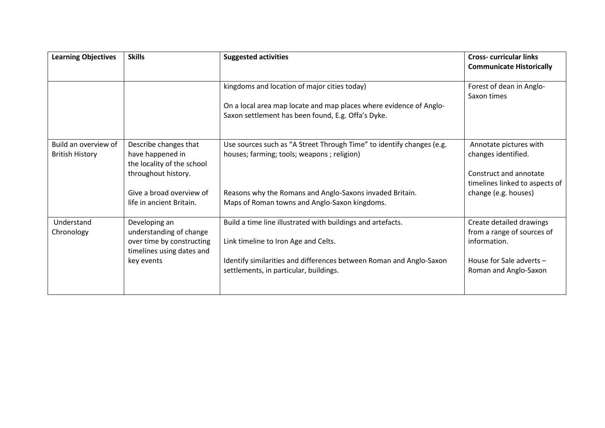| <b>Learning Objectives</b>                     | <b>Skills</b>                                                                                                                                          | <b>Suggested activities</b>                                                                                                                                                                                                      | <b>Cross-curricular links</b><br><b>Communicate Historically</b>                                                                  |
|------------------------------------------------|--------------------------------------------------------------------------------------------------------------------------------------------------------|----------------------------------------------------------------------------------------------------------------------------------------------------------------------------------------------------------------------------------|-----------------------------------------------------------------------------------------------------------------------------------|
|                                                |                                                                                                                                                        | kingdoms and location of major cities today)<br>On a local area map locate and map places where evidence of Anglo-<br>Saxon settlement has been found, E.g. Offa's Dyke.                                                         | Forest of dean in Anglo-<br>Saxon times                                                                                           |
| Build an overview of<br><b>British History</b> | Describe changes that<br>have happened in<br>the locality of the school<br>throughout history.<br>Give a broad overview of<br>life in ancient Britain. | Use sources such as "A Street Through Time" to identify changes (e.g.<br>houses; farming; tools; weapons; religion)<br>Reasons why the Romans and Anglo-Saxons invaded Britain.<br>Maps of Roman towns and Anglo-Saxon kingdoms. | Annotate pictures with<br>changes identified.<br>Construct and annotate<br>timelines linked to aspects of<br>change (e.g. houses) |
| Understand<br>Chronology                       | Developing an<br>understanding of change<br>over time by constructing<br>timelines using dates and<br>key events                                       | Build a time line illustrated with buildings and artefacts.<br>Link timeline to Iron Age and Celts.<br>Identify similarities and differences between Roman and Anglo-Saxon<br>settlements, in particular, buildings.             | Create detailed drawings<br>from a range of sources of<br>information.<br>House for Sale adverts $-$<br>Roman and Anglo-Saxon     |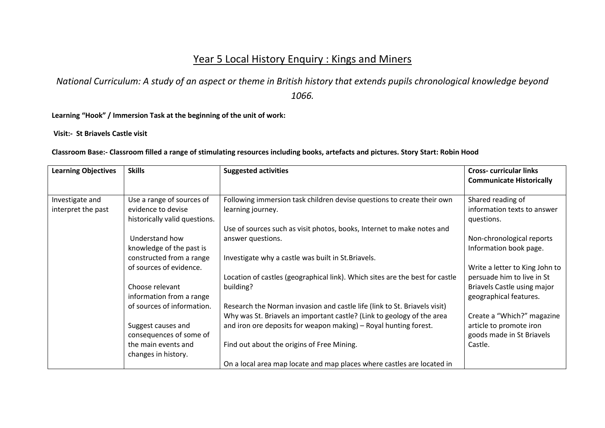# Year 5 Local History Enquiry : Kings and Miners

*National Curriculum: A study of an aspect or theme in British history that extends pupils chronological knowledge beyond 1066.* 

**Learning "Hook" / Immersion Task at the beginning of the unit of work:**

**Visit:- St Briavels Castle visit**

**Classroom Base:- Classroom filled a range of stimulating resources including books, artefacts and pictures. Story Start: Robin Hood**

| <b>Learning Objectives</b> | <b>Skills</b>                 | <b>Suggested activities</b>                                                  | <b>Cross-curricular links</b><br><b>Communicate Historically</b> |
|----------------------------|-------------------------------|------------------------------------------------------------------------------|------------------------------------------------------------------|
|                            |                               |                                                                              |                                                                  |
| Investigate and            | Use a range of sources of     | Following immersion task children devise questions to create their own       | Shared reading of                                                |
| interpret the past         | evidence to devise            | learning journey.                                                            | information texts to answer                                      |
|                            | historically valid questions. |                                                                              | questions.                                                       |
|                            |                               | Use of sources such as visit photos, books, Internet to make notes and       |                                                                  |
|                            | Understand how                | answer questions.                                                            | Non-chronological reports                                        |
|                            | knowledge of the past is      |                                                                              | Information book page.                                           |
|                            | constructed from a range      | Investigate why a castle was built in St. Briavels.                          |                                                                  |
|                            | of sources of evidence.       |                                                                              | Write a letter to King John to                                   |
|                            |                               | Location of castles (geographical link). Which sites are the best for castle | persuade him to live in St                                       |
|                            | Choose relevant               | building?                                                                    | Briavels Castle using major                                      |
|                            | information from a range      |                                                                              | geographical features.                                           |
|                            | of sources of information.    | Research the Norman invasion and castle life (link to St. Briavels visit)    |                                                                  |
|                            |                               | Why was St. Briavels an important castle? (Link to geology of the area       | Create a "Which?" magazine                                       |
|                            | Suggest causes and            | and iron ore deposits for weapon making) - Royal hunting forest.             | article to promote iron                                          |
|                            | consequences of some of       |                                                                              | goods made in St Briavels                                        |
|                            | the main events and           | Find out about the origins of Free Mining.                                   | Castle.                                                          |
|                            | changes in history.           |                                                                              |                                                                  |
|                            |                               | On a local area map locate and map places where castles are located in       |                                                                  |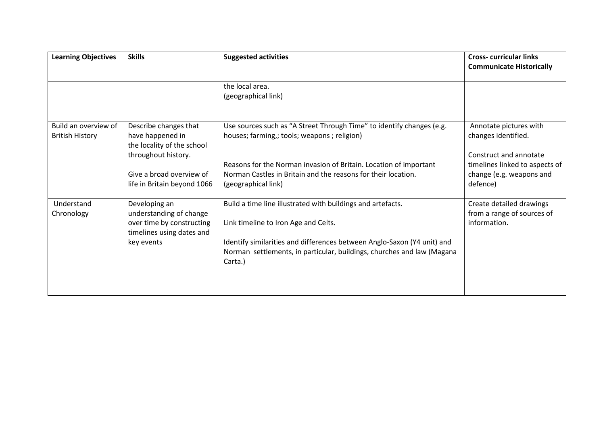| <b>Learning Objectives</b>                     | <b>Skills</b>                                                                                                                                             | <b>Suggested activities</b>                                                                                                                                                                                                                                                       | <b>Cross-curricular links</b><br><b>Communicate Historically</b>                                                                                  |
|------------------------------------------------|-----------------------------------------------------------------------------------------------------------------------------------------------------------|-----------------------------------------------------------------------------------------------------------------------------------------------------------------------------------------------------------------------------------------------------------------------------------|---------------------------------------------------------------------------------------------------------------------------------------------------|
|                                                |                                                                                                                                                           | the local area.<br>(geographical link)                                                                                                                                                                                                                                            |                                                                                                                                                   |
| Build an overview of<br><b>British History</b> | Describe changes that<br>have happened in<br>the locality of the school<br>throughout history.<br>Give a broad overview of<br>life in Britain beyond 1066 | Use sources such as "A Street Through Time" to identify changes (e.g.<br>houses; farming,; tools; weapons; religion)<br>Reasons for the Norman invasion of Britain. Location of important<br>Norman Castles in Britain and the reasons for their location.<br>(geographical link) | Annotate pictures with<br>changes identified.<br>Construct and annotate<br>timelines linked to aspects of<br>change (e.g. weapons and<br>defence) |
| Understand<br>Chronology                       | Developing an<br>understanding of change<br>over time by constructing<br>timelines using dates and<br>key events                                          | Build a time line illustrated with buildings and artefacts.<br>Link timeline to Iron Age and Celts.<br>Identify similarities and differences between Anglo-Saxon (Y4 unit) and<br>Norman settlements, in particular, buildings, churches and law (Magana<br>Carta.)               | Create detailed drawings<br>from a range of sources of<br>information.                                                                            |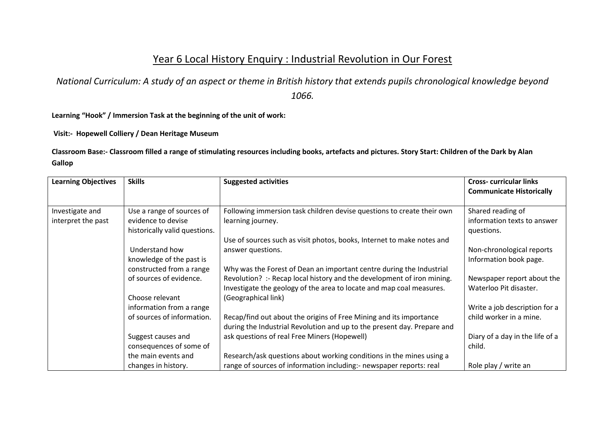## Year 6 Local History Enquiry : Industrial Revolution in Our Forest

*National Curriculum: A study of an aspect or theme in British history that extends pupils chronological knowledge beyond 1066.* 

**Learning "Hook" / Immersion Task at the beginning of the unit of work:**

**Visit:- Hopewell Colliery / Dean Heritage Museum**

**Classroom Base:- Classroom filled a range of stimulating resources including books, artefacts and pictures. Story Start: Children of the Dark by Alan Gallop**

| <b>Learning Objectives</b> | <b>Skills</b>                 | <b>Suggested activities</b>                                             | <b>Cross-curricular links</b>   |
|----------------------------|-------------------------------|-------------------------------------------------------------------------|---------------------------------|
|                            |                               |                                                                         | <b>Communicate Historically</b> |
| Investigate and            | Use a range of sources of     | Following immersion task children devise questions to create their own  | Shared reading of               |
| interpret the past         | evidence to devise            | learning journey.                                                       | information texts to answer     |
|                            | historically valid questions. |                                                                         | questions.                      |
|                            |                               | Use of sources such as visit photos, books, Internet to make notes and  |                                 |
|                            | Understand how                | answer questions.                                                       | Non-chronological reports       |
|                            | knowledge of the past is      |                                                                         | Information book page.          |
|                            | constructed from a range      | Why was the Forest of Dean an important centre during the Industrial    |                                 |
|                            | of sources of evidence.       | Revolution? :- Recap local history and the development of iron mining.  | Newspaper report about the      |
|                            |                               | Investigate the geology of the area to locate and map coal measures.    | Waterloo Pit disaster.          |
|                            | Choose relevant               | (Geographical link)                                                     |                                 |
|                            | information from a range      |                                                                         | Write a job description for a   |
|                            | of sources of information.    | Recap/find out about the origins of Free Mining and its importance      | child worker in a mine.         |
|                            |                               | during the Industrial Revolution and up to the present day. Prepare and |                                 |
|                            | Suggest causes and            | ask questions of real Free Miners (Hopewell)                            | Diary of a day in the life of a |
|                            | consequences of some of       |                                                                         | child.                          |
|                            | the main events and           | Research/ask questions about working conditions in the mines using a    |                                 |
|                            | changes in history.           | range of sources of information including:- newspaper reports: real     | Role play / write an            |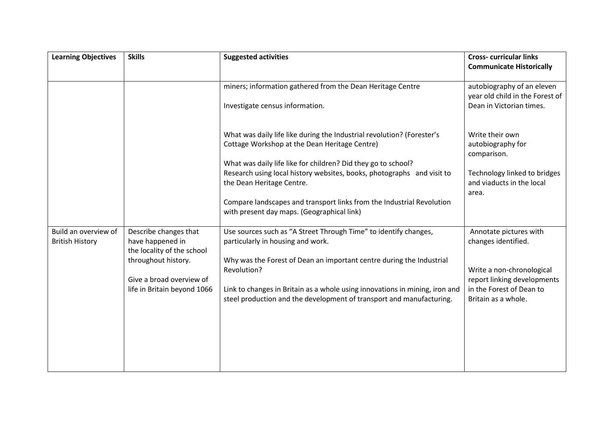| <b>Learning Objectives</b>                     | <b>Skills</b>                                                                  | <b>Suggested activities</b>                                                                                                                                                              | <b>Cross- curricular links</b><br><b>Communicate Historically</b>                         |
|------------------------------------------------|--------------------------------------------------------------------------------|------------------------------------------------------------------------------------------------------------------------------------------------------------------------------------------|-------------------------------------------------------------------------------------------|
|                                                |                                                                                | miners; information gathered from the Dean Heritage Centre<br>Investigate census information.                                                                                            | autobiography of an eleven<br>year old child in the Forest of<br>Dean in Victorian times. |
|                                                |                                                                                | What was daily life like during the Industrial revolution? (Forester's<br>Cottage Workshop at the Dean Heritage Centre)<br>What was daily life like for children? Did they go to school? | Write their own<br>autobiography for<br>comparison.                                       |
|                                                |                                                                                | Research using local history websites, books, photographs and visit to<br>the Dean Heritage Centre.                                                                                      | Technology linked to bridges<br>and viaducts in the local<br>area.                        |
|                                                |                                                                                | Compare landscapes and transport links from the Industrial Revolution<br>with present day maps. (Geographical link)                                                                      |                                                                                           |
| Build an overview of<br><b>British History</b> | Describe changes that<br>have happened in<br>the locality of the school        | Use sources such as "A Street Through Time" to identify changes,<br>particularly in housing and work.                                                                                    | Annotate pictures with<br>changes identified.                                             |
|                                                | throughout history.<br>Give a broad overview of<br>life in Britain beyond 1066 | Why was the Forest of Dean an important centre during the Industrial<br>Revolution?                                                                                                      | Write a non-chronological<br>report linking developments                                  |
|                                                |                                                                                | Link to changes in Britain as a whole using innovations in mining, iron and<br>steel production and the development of transport and manufacturing.                                      | in the Forest of Dean to<br>Britain as a whole.                                           |
|                                                |                                                                                |                                                                                                                                                                                          |                                                                                           |
|                                                |                                                                                |                                                                                                                                                                                          |                                                                                           |